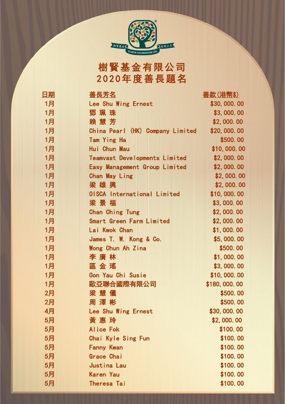

樹賢基金有限公司 2 0 2 0年度善長題名

| 但期 |                                      | 善款(港幣\$)     |
|----|--------------------------------------|--------------|
| 1月 | Lee Shu Wing Ernest                  | \$30,000.00  |
| 1月 | 鄧珮珠                                  | \$3,000.00   |
| 1月 | 賴 慧 芳                                | \$2,000.00   |
| 1月 | China Pearl (HK) Company Limited     | \$20,000.00  |
| 1月 | <b>Tam Ying Ha</b>                   | \$500.00     |
| 1月 | Hui Chun Mau                         | \$10,000.00  |
| 1月 | <b>Teamvast Developments Limited</b> | \$2,000.00   |
| 1月 | Easy Management Group Limited        | \$2,000.00   |
| 1月 | <b>Chan May Ling</b>                 | \$2,000.00   |
| 1月 | 梁雄興                                  | \$2,000.00   |
| 1月 | <b>OISCA International Limited</b>   | \$10,000.00  |
| 1月 | 梁景福                                  | \$3,000.00   |
| 1月 | <b>Chan Ching Tung</b>               | \$2,000.00   |
| 1月 | <b>Smart Green Farm Limited</b>      | \$2,000.00   |
| 1月 | Lai Kwok Chan                        | \$1,000.00   |
| 1月 | James T. W. Kong & Co.               | \$5,000.00   |
| 1月 | Wong Chun Ah Zina                    | \$500.00     |
| 1月 | 李 廣 林                                | \$1,000.00   |
| 1月 | 區金瑤                                  | \$3,000.00   |
| 1月 | Oon Yau Chi Susie                    | \$10,000.00  |
| 1月 | 歐亞聯合國際有限公司                           | \$180,000.00 |
| 2月 | 梁慧儀                                  | \$500.00     |
| 2月 | 周澤彬                                  | \$500.00     |
| 4月 | Lee Shu Wing Ernest                  | \$30,000.00  |
| 5月 | 黃 惠 玲                                | \$2,000.00   |
| 5月 | Alice Fok                            | \$100.00     |
| 5月 | Chai Kyle Sing Fun                   | \$100.00     |
| 5月 | <b>Fanny Kwan</b>                    | \$100.00     |
| 5月 | Grace Chai                           | \$100.00     |
| 5月 | <b>Justina Lau</b>                   | \$100.00     |
| 5月 | <b>Karen Yau</b>                     | \$100.00     |
| 5月 | <b>Theresa Tai</b>                   | \$100.00     |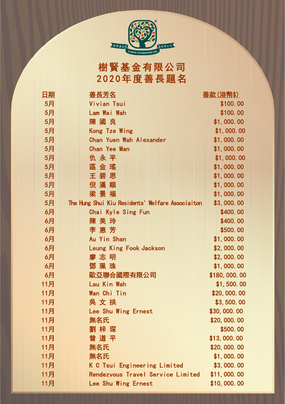

樹賢基金有限公司 2 0 2 0年度善長題名

| 旧期  |                                                  | 善款(港幣\$)     |
|-----|--------------------------------------------------|--------------|
| 5月  | Vivian Tsui                                      | \$100.00     |
| 5月  | Lam Wai Wah                                      | \$100.00     |
| 5月  | 陳國良                                              | \$1,000.00   |
| 5月  | <b>Kong Tze Wing</b>                             | \$1,000.00   |
| 5月  | <b>Chan Yuen Wah Alexander</b>                   | \$1,000.00   |
| 5月  | <b>Chan Yee Man</b>                              | \$1,000.00   |
| 5月  | 仇<br>永<br>平                                      | \$1,000.00   |
| 5月  | 區王倪<br>瑤思                                        | \$1,000.00   |
| 5月  | 金碧漢                                              | \$1,000.00   |
| 5月  | 順                                                | \$1,000.00   |
| 5月  | 景福<br>梁                                          | \$1,000.00   |
| 5月  | The Hung Shui Kiu Residents' Welfare Associaiton | \$3,000.00   |
| 6月  | Chai Kyle Sing Fun                               | \$400.00     |
| 6月  | 陳美玲                                              | \$400.00     |
| 6月  | 李惠芳                                              | \$500.00     |
| 6月  | Au Yin Shan                                      | \$1,000.00   |
| 6月  | Leung King Fook Jackson                          | \$2,000.00   |
| 6月  | 廖 志 明                                            | \$2,000.00   |
| 6月  | 鄧珮珠                                              | \$1,000.00   |
| 6月  | 歐亞聯合國際有限公司                                       | \$180,000.00 |
| 11月 | Lau Kin Wah                                      | \$1,500.00   |
| 11月 | Wan Chi Tin                                      | \$20,000.00  |
| 11月 | 吳 文 拱                                            | \$3,500.00   |
| 11月 | Lee Shu Wing Ernest                              | \$30,000.00  |
| 11月 | 無名氏                                              | \$20,000.00  |
| 11月 | 劉 梓 琛                                            | \$500.00     |
| 11月 | 曾道平                                              | \$13,000.00  |
| 11月 | 無名氏                                              | \$20,000.00  |
| 11月 | 無名氏                                              | \$1,000.00   |
| 11月 | K C Tsui Engineering Limited                     | \$3,000.00   |
| 11月 | Rendezvous Travel Service Limited                | \$11,000.00  |
| 11月 | Lee Shu Wing Ernest                              | \$10,000.00  |

щ